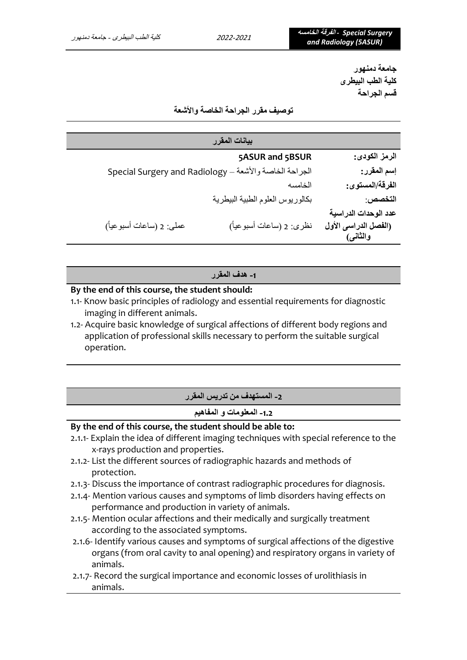**جامعة دمنهور كلية الطب البيطرى قسم الجراحة** 

**توصيف مقرر الجراحة الخاصة واألشعة** 

| بيانات المقرر                                          |                                  |
|--------------------------------------------------------|----------------------------------|
| 5ASUR and 5BSUR                                        | الرمز الكودي:                    |
| الجراحة الخاصة والأشعة - Special Surgery and Radiology | إسم المقرر:                      |
| الخامسه                                                | الفرقة/المستوى:                  |
| بكالوريوس العلوم الطبية البيطرية                       | التخصص:                          |
|                                                        | عدد الوحدات الدراسية             |
| عملي: 2 (ساعات أسبوعياً)<br>نظرى: 2 (ساعات أسبوعياً)   | (الفصل الدراسي الأول<br>والثانس) |

**-1 هدف المقرر** 

#### **By the end of this course, the student should:**

- 1.1- Know basic principles of radiology and essential requirements for diagnostic imaging in different animals.
- 1.2- Acquire basic knowledge of surgical affections of different body regions and application of professional skills necessary to perform the suitable surgical operation.

|  |  |  |  | ا 2- المستهدف من تدريس المقرر |  |
|--|--|--|--|-------------------------------|--|
|--|--|--|--|-------------------------------|--|

## **-1.2 المعلومات و المفاهيم**

#### **By the end of this course, the student should be able to:**

- 2.1.1- Explain the idea of different imaging techniques with special reference to the x-rays production and properties.
- 2.1.2- List the different sources of radiographic hazards and methods of protection.
- 2.1.3- Discuss the importance of contrast radiographic procedures for diagnosis.
- 2.1.4- Mention various causes and symptoms of limb disorders having effects on performance and production in variety of animals.
- 2.1.5- Mention ocular affections and their medically and surgically treatment according to the associated symptoms.
- 2.1.6- Identify various causes and symptoms of surgical affections of the digestive organs (from oral cavity to anal opening) and respiratory organs in variety of animals.
- 2.1.7- Record the surgical importance and economic losses of urolithiasis in animals.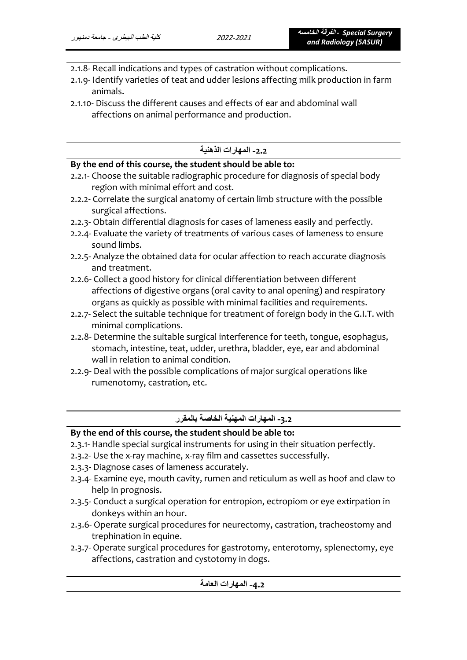- 2.1.8- Recall indications and types of castration without complications.
- 2.1.9- Identify varieties of teat and udder lesions affecting milk production in farm animals.
- 2.1.10- Discuss the different causes and effects of ear and abdominal wall affections on animal performance and production.

## **-2.2 المهارات الذهنية**

### **By the end of this course, the student should be able to:**

- 2.2.1- Choose the suitable radiographic procedure for diagnosis of special body region with minimal effort and cost.
- 2.2.2- Correlate the surgical anatomy of certain limb structure with the possible surgical affections.
- 2.2.3- Obtain differential diagnosis for cases of lameness easily and perfectly.
- 2.2.4- Evaluate the variety of treatments of various cases of lameness to ensure sound limbs.
- 2.2.5- Analyze the obtained data for ocular affection to reach accurate diagnosis and treatment.
- 2.2.6- Collect a good history for clinical differentiation between different affections of digestive organs (oral cavity to anal opening) and respiratory organs as quickly as possible with minimal facilities and requirements.
- 2.2.7- Select the suitable technique for treatment of foreign body in the G.I.T. with minimal complications.
- 2.2.8- Determine the suitable surgical interference for teeth, tongue, esophagus, stomach, intestine, teat, udder, urethra, bladder, eye, ear and abdominal wall in relation to animal condition.
- 2.2.9- Deal with the possible complications of major surgical operations like rumenotomy, castration, etc.

## **-3.2 المهارات المهنية الخاصة بالمقرر**

### **By the end of this course, the student should be able to:**

- 2.3.1- Handle special surgical instruments for using in their situation perfectly.
- 2.3.2- Use the x-ray machine, x-ray film and cassettes successfully.
- 2.3.3- Diagnose cases of lameness accurately.
- 2.3.4- Examine eye, mouth cavity, rumen and reticulum as well as hoof and claw to help in prognosis.
- 2.3.5- Conduct a surgical operation for entropion, ectropiom or eye extirpation in donkeys within an hour.
- 2.3.6- Operate surgical procedures for neurectomy, castration, tracheostomy and trephination in equine.
- 2.3.7- Operate surgical procedures for gastrotomy, enterotomy, splenectomy, eye affections, castration and cystotomy in dogs.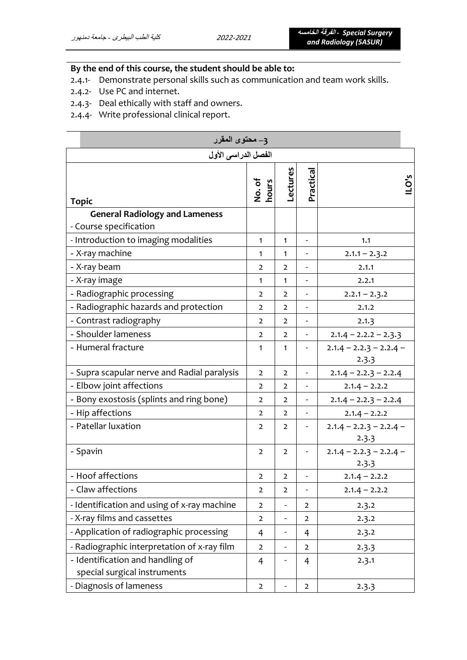# **By the end of this course, the student should be able to:**

- 2.4.1- Demonstrate personal skills such as communication and team work skills.
- 2.4.2- Use PC and internet.
- 2.4.3- Deal ethically with staff and owners.
- 2.4.4- Write professional clinical report.

| 3– محتوى المقرر<br>الفصل الدراسي الأول                           |                 |                |                              |                                    |  |
|------------------------------------------------------------------|-----------------|----------------|------------------------------|------------------------------------|--|
|                                                                  |                 |                |                              |                                    |  |
| <b>Topic</b>                                                     | No. of<br>hours | Lectures       | Practical                    | ILO's                              |  |
| <b>General Radiology and Lameness</b>                            |                 |                |                              |                                    |  |
| - Course specification                                           |                 |                |                              |                                    |  |
| - Introduction to imaging modalities                             | $\mathbf{1}$    | $\mathbf{1}$   | $\overline{\phantom{0}}$     | 1.1                                |  |
| - X-ray machine                                                  | $\mathbf{1}$    | $\mathbf{1}$   |                              | $2.1.1 - 2.3.2$                    |  |
| - X-ray beam                                                     | $\overline{2}$  | $\overline{2}$ | $\overline{\phantom{a}}$     | 2.1.1                              |  |
| - X-ray image                                                    | $\mathbf{1}$    | $\mathbf{1}$   |                              | 2.2.1                              |  |
| - Radiographic processing                                        | $\overline{2}$  | $\overline{2}$ |                              | $2.2.1 - 2.3.2$                    |  |
| - Radiographic hazards and protection                            | $\overline{2}$  | $\overline{2}$ |                              | 2.1.2                              |  |
| - Contrast radiography                                           | $\overline{2}$  | $\overline{2}$ |                              | 2.1.3                              |  |
| - Shoulder lameness                                              | $\overline{2}$  | $\overline{2}$ | $\qquad \qquad \blacksquare$ | $2.1.4 - 2.2.2 - 2.3.3$            |  |
| - Humeral fracture                                               |                 | $\mathbf{1}$   |                              | $2.1.4 - 2.2.3 - 2.2.4 -$<br>2.3.3 |  |
| - Supra scapular nerve and Radial paralysis                      | $\overline{2}$  | $\overline{2}$ |                              | $2.1.4 - 2.2.3 - 2.2.4$            |  |
| - Elbow joint affections                                         |                 | $\overline{2}$ |                              | $2.1.4 - 2.2.2$                    |  |
| - Bony exostosis (splints and ring bone)                         |                 | $\overline{2}$ | $\frac{1}{2}$                | $2.1.4 - 2.2.3 - 2.2.4$            |  |
| - Hip affections                                                 | $\overline{2}$  | $\overline{2}$ | $\overline{\phantom{a}}$     | $2.1.4 - 2.2.2$                    |  |
| - Patellar luxation                                              | 2               | 2              |                              | $2.1.4 - 2.2.3 - 2.2.4 -$<br>2.3.3 |  |
| - Spavin                                                         | $\overline{2}$  | $\overline{2}$ | $\qquad \qquad \blacksquare$ | $2.1.4 - 2.2.3 - 2.2.4 -$<br>2.3.3 |  |
| - Hoof affections                                                | $\overline{2}$  | $\overline{2}$ |                              | $2.1.4 - 2.2.2$                    |  |
| - Claw affections                                                | $\overline{2}$  | $\overline{2}$ |                              | $2.1.4 - 2.2.2$                    |  |
| - Identification and using of x-ray machine                      | $\overline{2}$  | -              | 2                            | 2.3.2                              |  |
| - X-ray films and cassettes                                      | $\overline{2}$  | -              | 2                            | 2.3.2                              |  |
| - Application of radiographic processing                         | 4               | -              | $\overline{4}$               | 2.3.2                              |  |
| - Radiographic interpretation of x-ray film                      | $\mathbf{2}$    | -              | $\overline{2}$               | 2.3.3                              |  |
| - Identification and handling of<br>special surgical instruments | 4               |                | 4                            | 2.3.1                              |  |
| - Diagnosis of lameness                                          | $\mathbf{2}$    |                | $\overline{2}$               | 2.3.3                              |  |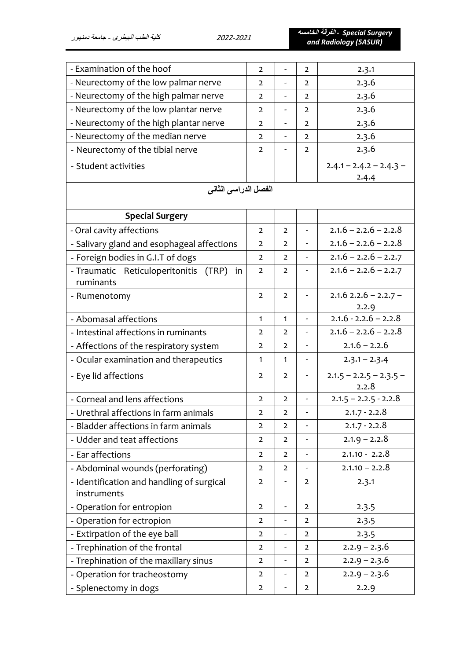*Surgery Special -* **الفرقة الخامسه** *and Radiology (5ASUR)*

| - Examination of the hoof                   | $\overline{2}$ |                              | $\overline{2}$           | 2.3.1                              |
|---------------------------------------------|----------------|------------------------------|--------------------------|------------------------------------|
| - Neurectomy of the low palmar nerve        | $\overline{2}$ | $\frac{1}{2}$                | $\overline{2}$           | 2.3.6                              |
| - Neurectomy of the high palmar nerve       | $\overline{2}$ | $\overline{\phantom{0}}$     | $\overline{2}$           | 2.3.6                              |
| - Neurectomy of the low plantar nerve       | $\overline{2}$ | $\qquad \qquad \blacksquare$ | $\overline{2}$           | 2.3.6                              |
| - Neurectomy of the high plantar nerve      | $\overline{2}$ | $\frac{1}{2}$                | $\overline{2}$           | 2.3.6                              |
| - Neurectomy of the median nerve            | $\overline{2}$ | $\qquad \qquad \blacksquare$ | $\overline{2}$           | 2.3.6                              |
| - Neurectomy of the tibial nerve            | $\overline{2}$ |                              | $\overline{2}$           | 2.3.6                              |
| - Student activities                        |                |                              |                          | $2.4.1 - 2.4.2 - 2.4.3 -$          |
|                                             |                |                              |                          | 2.4.4                              |
| الفصل الدراسي الثاني                        |                |                              |                          |                                    |
| <b>Special Surgery</b>                      |                |                              |                          |                                    |
| - Oral cavity affections                    | $\overline{2}$ | $\overline{2}$               |                          | $2.1.6 - 2.2.6 - 2.2.8$            |
| - Salivary gland and esophageal affections  | $\overline{2}$ | $\overline{2}$               |                          | $2.1.6 - 2.2.6 - 2.2.8$            |
| - Foreign bodies in G.I.T of dogs           | $\overline{2}$ | $\overline{2}$               |                          | $2.1.6 - 2.2.6 - 2.2.7$            |
| - Traumatic Reticuloperitonitis (TRP)<br>in | $\overline{2}$ | $\overline{2}$               |                          | $2.1.6 - 2.2.6 - 2.2.7$            |
| ruminants                                   |                |                              |                          |                                    |
| - Rumenotomy                                | $\overline{2}$ | $\overline{2}$               |                          | $2.1.6$ $2.2.6 - 2.2.7 -$          |
|                                             |                |                              |                          | 2.2.9                              |
| - Abomasal affections                       | $\mathbf{1}$   | $\mathbf{1}$                 |                          | $2.1.6 - 2.2.6 - 2.2.8$            |
| - Intestinal affections in ruminants        | $\overline{2}$ | $\overline{2}$               |                          | $2.1.6 - 2.2.6 - 2.2.8$            |
| - Affections of the respiratory system      | $\overline{2}$ | $\overline{2}$               |                          | $2.1.6 - 2.2.6$                    |
| - Ocular examination and therapeutics       | $\mathbf{1}$   | $\mathbf{1}$                 | $\overline{\phantom{a}}$ | $2.3.1 - 2.3.4$                    |
| - Eye lid affections                        | $\overline{2}$ | $\overline{2}$               | -                        | $2.1.5 - 2.2.5 - 2.3.5 -$<br>2.2.8 |
| - Corneal and lens affections               | $\overline{2}$ | $\overline{2}$               |                          | $2.1.5 - 2.2.5 - 2.2.8$            |
| - Urethral affections in farm animals       |                | $\mathbf 2$                  |                          | $2.1.7 - 2.2.8$                    |
| - Bladder affections in farm animals        | $\overline{2}$ | $\overline{2}$               |                          | $2.1.7 - 2.2.8$                    |
| - Udder and teat affections                 | $\overline{2}$ | $\overline{2}$               |                          | $2.1.9 - 2.2.8$                    |
| - Ear affections                            | $\overline{2}$ | $\overline{2}$               |                          | $2.1.10 - 2.2.8$                   |
| - Abdominal wounds (perforating)            | $\overline{2}$ | $\overline{2}$               |                          | $2.1.10 - 2.2.8$                   |
| - Identification and handling of surgical   | $\overline{2}$ |                              | $\overline{2}$           | 2.3.1                              |
| instruments                                 |                |                              |                          |                                    |
| - Operation for entropion                   | $\overline{2}$ | $\overline{a}$               | $\overline{2}$           | 2.3.5                              |
| - Operation for ectropion                   |                | $\frac{1}{2}$                | 2                        | 2.3.5                              |
| - Extirpation of the eye ball               |                | $\qquad \qquad \blacksquare$ | $\overline{2}$           | 2.3.5                              |
| - Trephination of the frontal               | $\overline{2}$ | $\qquad \qquad \blacksquare$ | $\overline{2}$           | $2.2.9 - 2.3.6$                    |
| - Trephination of the maxillary sinus       | $\overline{2}$ | $\overline{\phantom{0}}$     | $\overline{2}$           | $2.2.9 - 2.3.6$                    |
| - Operation for tracheostomy                | $\overline{2}$ | $\overline{\phantom{a}}$     | $\overline{2}$           | $2.2.9 - 2.3.6$                    |
| - Splenectomy in dogs                       | $\overline{2}$ |                              | $\overline{2}$           | 2.2.9                              |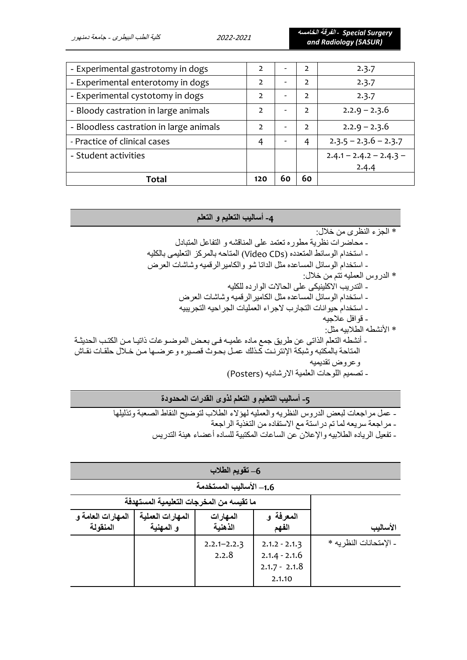*Surgery Special -* **الفرقة الخامسه** *and Radiology (5ASUR)*

| Total                                   | 120            | 60 | 60            |                           |
|-----------------------------------------|----------------|----|---------------|---------------------------|
|                                         |                |    |               | 2.4.4                     |
| - Student activities                    |                |    |               | $2.4.1 - 2.4.2 - 2.4.3 -$ |
| - Practice of clinical cases            | 4              |    | 4             | $2.3.5 - 2.3.6 - 2.3.7$   |
| - Bloodless castration in large animals | $\mathcal{L}$  |    | $\mathcal{L}$ | $2.2.9 - 2.3.6$           |
| - Bloody castration in large animals    | $\mathcal{L}$  |    | $\mathcal{P}$ | $2.2.9 - 2.3.6$           |
| - Experimental cystotomy in dogs        | $\overline{2}$ |    | 2             | 2.3.7                     |
| - Experimental enterotomy in dogs       | $\overline{2}$ |    | 2             | 2.3.7                     |
| - Experimental gastrotomy in dogs       | $\overline{2}$ |    | 2             | 2.3.7                     |

### **-4 أساليب التعليم و التعلم**

\* الجزء النظرى من خالل: - محاضرات نظرية مطوره تعتمد على المناقشه و التفاعل المتبادل

- استخدام الوسائط المتعدده )CDs Video )المتاحه بالمركز التعليمى بالكليه
- استخدام الوسائل المساعده مثل الداتا شو والكاميرالرقميه وشاشات العرض
	- \* الدروس العمليه تتم من خالل:
	- التدريب االكلينيكى على الحاالت الوارده للكليه
	- استخدام الوسائل المساعده مثل الكاميرالرقميه وشاشات العرض
	- استخدام حيوانات التجارب الجراء العمليات الجراحيه التجريبيه
		- قوافل عالجيه
		- \* األنشطه الطالبيه مثل:
- أنشطه التعلم الذاتي عن طريق جمع ماده علميـه فـي بعض الموضـوعات ذاتيـا مـن الكتـب الحديثـة المتاحة بالمكتبه وشبكة الإنترنت كذلك عمل بحوث قصيره وعرضها من خلال حلقات نقاش وعروض تقديميه
	- تصميم اللوحات العلمية الارشاديه (Posters)

### **-5 أساليب التعليم و التعلم ل ذوى القدرات المحدودة**

- عمل مراجعات لبعض الدروس النظريه والعمليه لهؤلاء الطلاب لتوضيح النقاط الصعبة وتذليلها
	- مراجعة سريعه لما تم دراستة مع االستفاده من التغذية الراجعة
	- تفعيل الرياده الطالبيه واإلعالن عن الساعات المكتبية للساده أعضاء هيئة التدريس

| 6– تقويم الطلاب                          |                               |                          |                                                                 |                         |  |
|------------------------------------------|-------------------------------|--------------------------|-----------------------------------------------------------------|-------------------------|--|
|                                          |                               | 1.6– الأساليب المستخدمة  |                                                                 |                         |  |
| ما تقيسه من المخرجات التعليمية المستهدفة |                               |                          |                                                                 |                         |  |
| المهارات العامة و<br>المنقولة            | المهارات العملية<br>و المهنية | المهارات<br>الذهنية      | المعرفة و<br>الفهم                                              | الأساليب                |  |
|                                          |                               | $2.2.1 - 2.2.3$<br>2.2.8 | $2.1.2 - 2.1.3$<br>$2.1.4 - 2.1.6$<br>$2.1.7 - 2.1.8$<br>2.1.10 | - الإمتحانات النظر به * |  |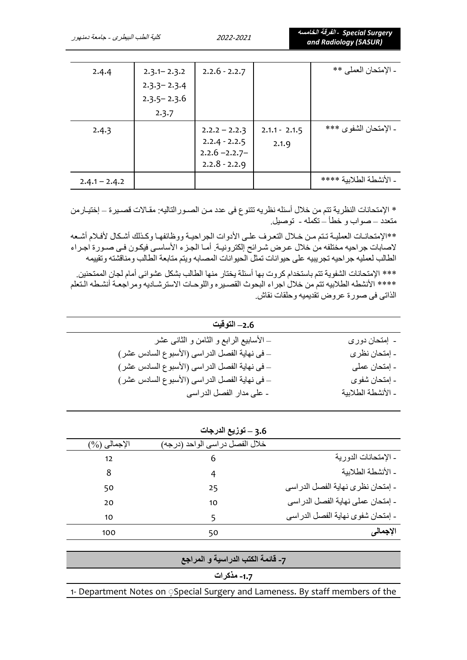| 2.4.4           | $2.3.1 - 2.3.2$ | $2.2.6 - 2.2.7$ |                 | - الإمتحان العملي **    |
|-----------------|-----------------|-----------------|-----------------|-------------------------|
|                 | $2.3.3 - 2.3.4$ |                 |                 |                         |
|                 | $2.3.5 - 2.3.6$ |                 |                 |                         |
|                 | 2.3.7           |                 |                 |                         |
| 2.4.3           |                 | $2.2.2 - 2.2.3$ | $2.1.1 - 2.1.5$ | - الإمتحان الشفوى ***   |
|                 |                 | $2.2.4 - 2.2.5$ | 2.1.9           |                         |
|                 |                 | $2.2.6 - 2.2.7$ |                 |                         |
|                 |                 | $2.2.8 - 2.2.9$ |                 |                         |
| $2.4.1 - 2.4.2$ |                 |                 |                 | - الأنشطة الطلابية **** |
|                 |                 |                 |                 |                         |

\* الإمتحانات النظرية تتم من خلال أسئله نظريه تتنوع فى عدد من الصـور التاليه: مقـالات قصـير ة – إختيـار من متعدد – صواب و خطأ – تكمله - توصيل.

\*\*الإمتحانـات العمليـة تـتم مـن خـلال التعرف علـى الأدوات الجراحيـة ووظائفهـا وكـذلك أشـكال لأفـلام أشـعه لاصابات جراحيه مختلفه من خلال عرض شرائح إلكترونيـة. أمـاً الجـزء الأساسـي فيكـون فـي صـورة اجـراء الطالب لعمليه جراحيه تجريبيه على حيوانات تمثل الحيوانات المصابه ويتم متابعة الطالب ومناقشته وتقييمه

\*\*\* اإلمتحانات الشفوية تتم باستخدام كروت بها أسئلة يختار منها الطالب بشكل عشوائى أمام لجان الممتحنين. \*\*\*\* الأنشطه الطلابيه تتم من خلال اجراء البحوث القصيره واللوحات الاسترشاديه ومراجعة أنشطه التعلم الذاتي في صورة عروض تقديميه وحلقات نقاش.

| 2.6– التوقيت                                  |                    |
|-----------------------------------------------|--------------------|
| _ الأسابيع الرابع و الثامن و الثانـي عشر      | ۔ اِمتحان دوری     |
| _ في نهاية الفصل الدراسي (الأسبوع السادس عشر) | - إمتحان نظر ي     |
| _ في نهاية الفصل الدراسي (الأسبوع السادس عشر) | - إمتحان عملي      |
| _ في نهاية الفصل الدراسي (الأسبوع السادس عشر) | ۔ إمتحان شفوى      |
| - على مدار الفصل الدراسي                      | ـ الأنشطة الطلابية |

|                 | 3.6 – توزيع الدرجات             |                                   |
|-----------------|---------------------------------|-----------------------------------|
| $(\%)$ الإجمالي | خلال الفصل در اسي الواحد (درجه) |                                   |
| 12              | 6                               | ـ الإمتحانات الدورية              |
| 8               | 4                               | - الأنشطة الطلابية                |
| 50              | 25                              | - إمتحان نظرى نهاية الفصل الدراسي |
| 20              | 10                              | - إمتحان عملي نهاية الفصل الدراسي |
| 10              | 5                               | - إمتحان شفوي نهاية الفصل الدراسي |
| 100             | 50                              | الإجمالي                          |

| ا 7- قائمة الكتب الدراسية و المراجع ا                                        |
|------------------------------------------------------------------------------|
| 1.7- مذکر ات                                                                 |
| 1- Department Notes on Special Surgery and Lameness. By staff members of the |